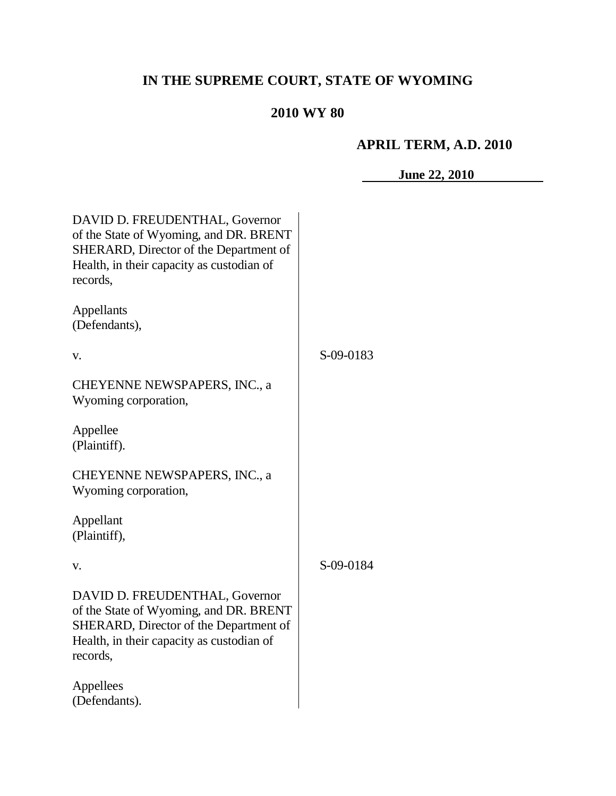# **IN THE SUPREME COURT, STATE OF WYOMING**

## **2010 WY 80**

# **APRIL TERM, A.D. 2010**

**June 22, 2010**

| DAVID D. FREUDENTHAL, Governor<br>of the State of Wyoming, and DR. BRENT<br>SHERARD, Director of the Department of<br>Health, in their capacity as custodian of<br>records, |           |
|-----------------------------------------------------------------------------------------------------------------------------------------------------------------------------|-----------|
| Appellants<br>(Defendants),                                                                                                                                                 |           |
| v.                                                                                                                                                                          | S-09-0183 |
| CHEYENNE NEWSPAPERS, INC., a<br>Wyoming corporation,                                                                                                                        |           |
| Appellee<br>(Plaintiff).                                                                                                                                                    |           |
| CHEYENNE NEWSPAPERS, INC., a<br>Wyoming corporation,                                                                                                                        |           |
| Appellant<br>(Plaintiff),                                                                                                                                                   |           |
| V.                                                                                                                                                                          | S-09-0184 |
| DAVID D. FREUDENTHAL, Governor<br>of the State of Wyoming, and DR. BRENT<br>SHERARD, Director of the Department of<br>Health, in their capacity as custodian of<br>records, |           |
| Appellees<br>(Defendants).                                                                                                                                                  |           |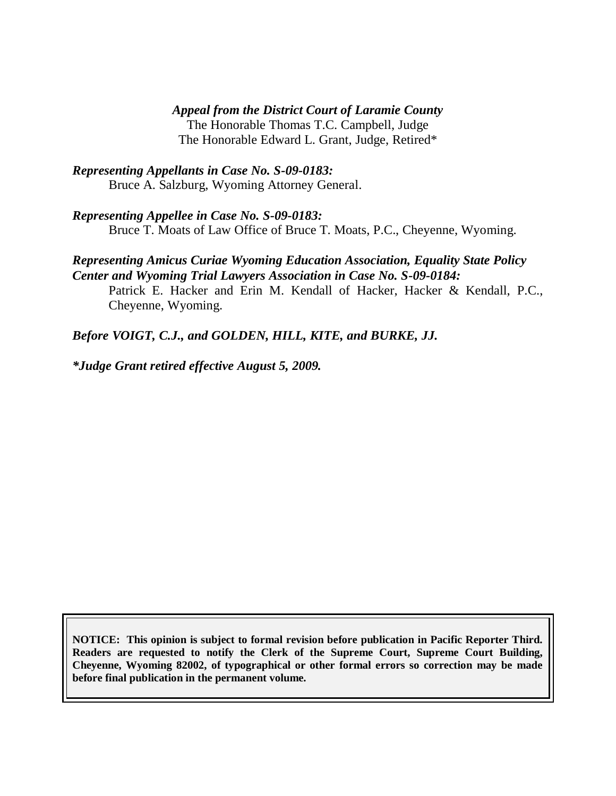#### *Appeal from the District Court of Laramie County*

The Honorable Thomas T.C. Campbell, Judge The Honorable Edward L. Grant, Judge, Retired\*

*Representing Appellants in Case No. S-09-0183:* Bruce A. Salzburg, Wyoming Attorney General.

*Representing Appellee in Case No. S-09-0183:* Bruce T. Moats of Law Office of Bruce T. Moats, P.C., Cheyenne, Wyoming.

#### *Representing Amicus Curiae Wyoming Education Association, Equality State Policy Center and Wyoming Trial Lawyers Association in Case No. S-09-0184:*

Patrick E. Hacker and Erin M. Kendall of Hacker, Hacker & Kendall, P.C., Cheyenne, Wyoming.

*Before VOIGT, C.J., and GOLDEN, HILL, KITE, and BURKE, JJ.*

*\*Judge Grant retired effective August 5, 2009.*

**NOTICE: This opinion is subject to formal revision before publication in Pacific Reporter Third. Readers are requested to notify the Clerk of the Supreme Court, Supreme Court Building, Cheyenne, Wyoming 82002, of typographical or other formal errors so correction may be made before final publication in the permanent volume.**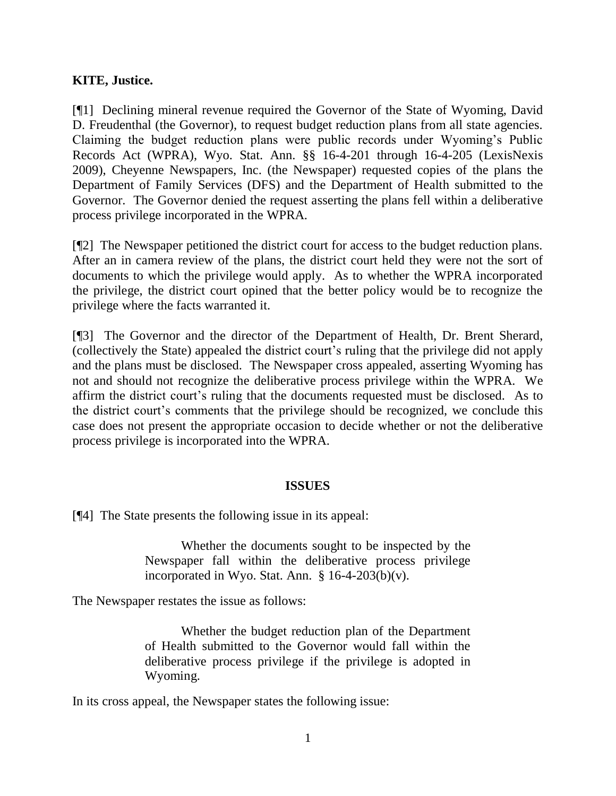## **KITE, Justice.**

[¶1] Declining mineral revenue required the Governor of the State of Wyoming, David D. Freudenthal (the Governor), to request budget reduction plans from all state agencies. Claiming the budget reduction plans were public records under Wyoming"s Public Records Act (WPRA), Wyo. Stat. Ann. §§ 16-4-201 through 16-4-205 (LexisNexis 2009), Cheyenne Newspapers, Inc. (the Newspaper) requested copies of the plans the Department of Family Services (DFS) and the Department of Health submitted to the Governor. The Governor denied the request asserting the plans fell within a deliberative process privilege incorporated in the WPRA.

[¶2] The Newspaper petitioned the district court for access to the budget reduction plans. After an in camera review of the plans, the district court held they were not the sort of documents to which the privilege would apply. As to whether the WPRA incorporated the privilege, the district court opined that the better policy would be to recognize the privilege where the facts warranted it.

[¶3] The Governor and the director of the Department of Health, Dr. Brent Sherard, (collectively the State) appealed the district court"s ruling that the privilege did not apply and the plans must be disclosed. The Newspaper cross appealed, asserting Wyoming has not and should not recognize the deliberative process privilege within the WPRA. We affirm the district court"s ruling that the documents requested must be disclosed. As to the district court's comments that the privilege should be recognized, we conclude this case does not present the appropriate occasion to decide whether or not the deliberative process privilege is incorporated into the WPRA.

#### **ISSUES**

[¶4] The State presents the following issue in its appeal:

Whether the documents sought to be inspected by the Newspaper fall within the deliberative process privilege incorporated in Wyo. Stat. Ann.  $§$  16-4-203(b)(v).

The Newspaper restates the issue as follows:

Whether the budget reduction plan of the Department of Health submitted to the Governor would fall within the deliberative process privilege if the privilege is adopted in Wyoming.

In its cross appeal, the Newspaper states the following issue: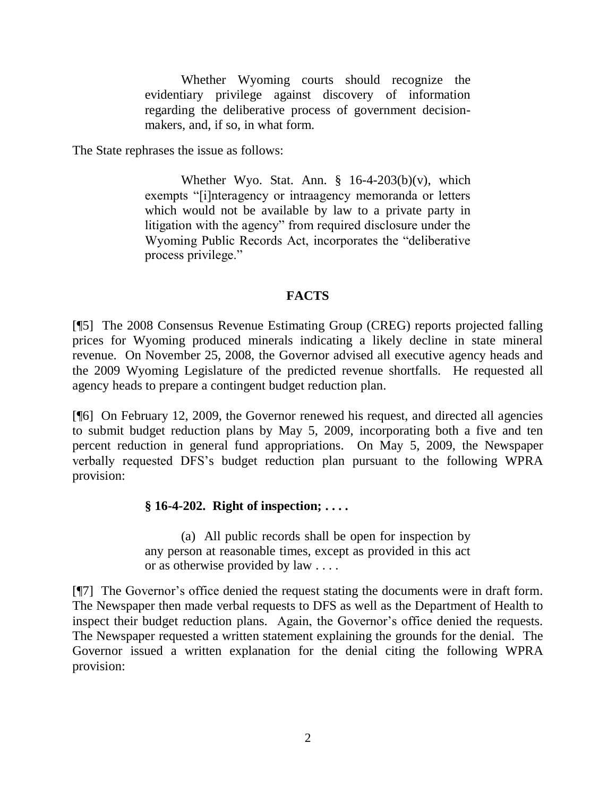Whether Wyoming courts should recognize the evidentiary privilege against discovery of information regarding the deliberative process of government decisionmakers, and, if so, in what form.

The State rephrases the issue as follows:

Whether Wyo. Stat. Ann.  $\S$  16-4-203(b)(v), which exempts "[i]nteragency or intraagency memoranda or letters which would not be available by law to a private party in litigation with the agency" from required disclosure under the Wyoming Public Records Act, incorporates the "deliberative process privilege."

### **FACTS**

[¶5] The 2008 Consensus Revenue Estimating Group (CREG) reports projected falling prices for Wyoming produced minerals indicating a likely decline in state mineral revenue. On November 25, 2008, the Governor advised all executive agency heads and the 2009 Wyoming Legislature of the predicted revenue shortfalls. He requested all agency heads to prepare a contingent budget reduction plan.

[¶6] On February 12, 2009, the Governor renewed his request, and directed all agencies to submit budget reduction plans by May 5, 2009, incorporating both a five and ten percent reduction in general fund appropriations. On May 5, 2009, the Newspaper verbally requested DFS"s budget reduction plan pursuant to the following WPRA provision:

## **§ 16-4-202. Right of inspection; . . . .**

(a) All public records shall be open for inspection by any person at reasonable times, except as provided in this act or as otherwise provided by law . . . .

[¶7] The Governor"s office denied the request stating the documents were in draft form. The Newspaper then made verbal requests to DFS as well as the Department of Health to inspect their budget reduction plans. Again, the Governor's office denied the requests. The Newspaper requested a written statement explaining the grounds for the denial. The Governor issued a written explanation for the denial citing the following WPRA provision: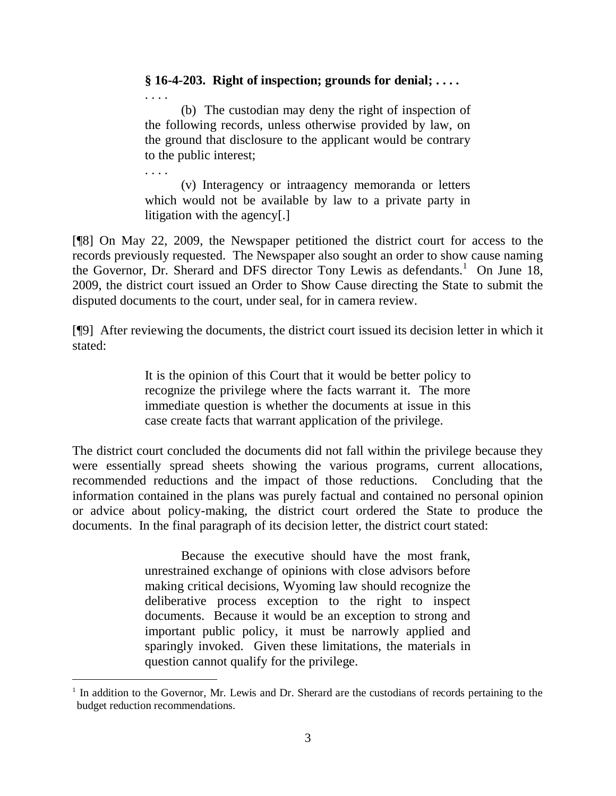### **§ 16-4-203. Right of inspection; grounds for denial; . . . .**

. . . .

. . . .

 $\overline{a}$ 

(b) The custodian may deny the right of inspection of the following records, unless otherwise provided by law, on the ground that disclosure to the applicant would be contrary to the public interest;

(v) Interagency or intraagency memoranda or letters which would not be available by law to a private party in litigation with the agency[.]

[¶8] On May 22, 2009, the Newspaper petitioned the district court for access to the records previously requested. The Newspaper also sought an order to show cause naming the Governor, Dr. Sherard and DFS director Tony Lewis as defendants.<sup>1</sup> On June 18, 2009, the district court issued an Order to Show Cause directing the State to submit the disputed documents to the court, under seal, for in camera review.

[¶9] After reviewing the documents, the district court issued its decision letter in which it stated:

> It is the opinion of this Court that it would be better policy to recognize the privilege where the facts warrant it. The more immediate question is whether the documents at issue in this case create facts that warrant application of the privilege.

The district court concluded the documents did not fall within the privilege because they were essentially spread sheets showing the various programs, current allocations, recommended reductions and the impact of those reductions. Concluding that the information contained in the plans was purely factual and contained no personal opinion or advice about policy-making, the district court ordered the State to produce the documents. In the final paragraph of its decision letter, the district court stated:

> Because the executive should have the most frank, unrestrained exchange of opinions with close advisors before making critical decisions, Wyoming law should recognize the deliberative process exception to the right to inspect documents. Because it would be an exception to strong and important public policy, it must be narrowly applied and sparingly invoked. Given these limitations, the materials in question cannot qualify for the privilege.

<sup>&</sup>lt;sup>1</sup> In addition to the Governor, Mr. Lewis and Dr. Sherard are the custodians of records pertaining to the budget reduction recommendations.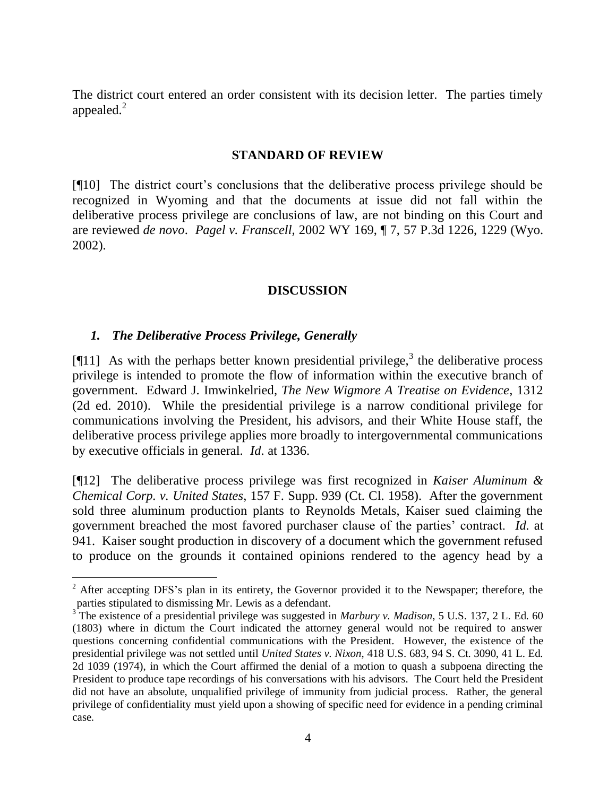The district court entered an order consistent with its decision letter. The parties timely appealed. $^{2}$ 

#### **STANDARD OF REVIEW**

[¶10] The district court"s conclusions that the deliberative process privilege should be recognized in Wyoming and that the documents at issue did not fall within the deliberative process privilege are conclusions of law, are not binding on this Court and are reviewed *de novo*. *Pagel v. Franscell,* 2002 WY 169, ¶ 7, 57 P.3d 1226, 1229 (Wyo. 2002).

#### **DISCUSSION**

#### *1. The Deliberative Process Privilege, Generally*

 $\overline{a}$ 

[ $[11]$  As with the perhaps better known presidential privilege,<sup>3</sup> the deliberative process privilege is intended to promote the flow of information within the executive branch of government. Edward J. Imwinkelried*, The New Wigmore A Treatise on Evidence*, 1312 (2d ed. 2010). While the presidential privilege is a narrow conditional privilege for communications involving the President, his advisors, and their White House staff, the deliberative process privilege applies more broadly to intergovernmental communications by executive officials in general. *Id*. at 1336.

[¶12] The deliberative process privilege was first recognized in *Kaiser Aluminum & Chemical Corp. v. United States*, 157 F. Supp. 939 (Ct. Cl. 1958). After the government sold three aluminum production plants to Reynolds Metals, Kaiser sued claiming the government breached the most favored purchaser clause of the parties" contract. *Id*. at 941. Kaiser sought production in discovery of a document which the government refused to produce on the grounds it contained opinions rendered to the agency head by a

 $2^2$  After accepting DFS's plan in its entirety, the Governor provided it to the Newspaper; therefore, the parties stipulated to dismissing Mr. Lewis as a defendant.

<sup>&</sup>lt;sup>3</sup> The existence of a presidential privilege was suggested in *Marbury v. Madison*, 5 U.S. 137, 2 L. Ed. 60 (1803) where in dictum the Court indicated the attorney general would not be required to answer questions concerning confidential communications with the President. However, the existence of the presidential privilege was not settled until *United States v. Nixon*, 418 U.S. 683, 94 S. Ct. 3090, 41 L. Ed. 2d 1039 (1974), in which the Court affirmed the denial of a motion to quash a subpoena directing the President to produce tape recordings of his conversations with his advisors. The Court held the President did not have an absolute, unqualified privilege of immunity from judicial process. Rather, the general privilege of confidentiality must yield upon a showing of specific need for evidence in a pending criminal case.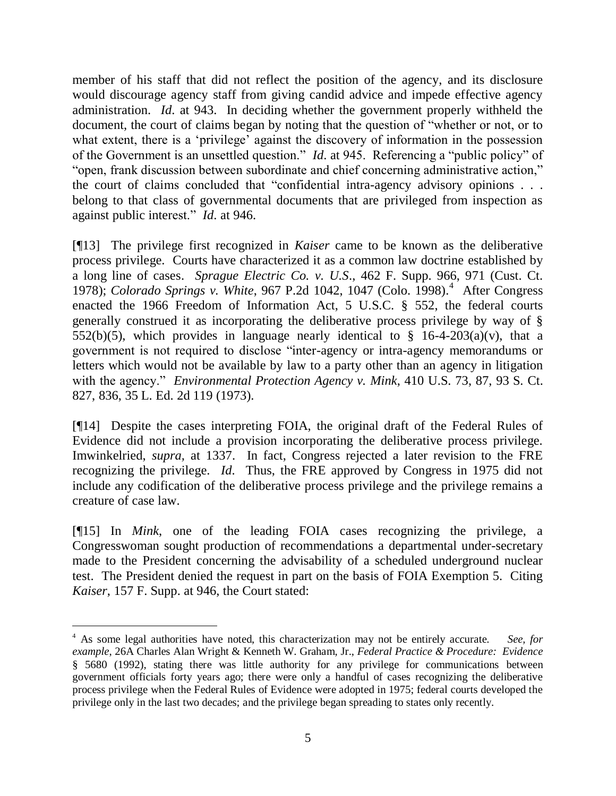member of his staff that did not reflect the position of the agency, and its disclosure would discourage agency staff from giving candid advice and impede effective agency administration. *Id*. at 943. In deciding whether the government properly withheld the document, the court of claims began by noting that the question of "whether or not, or to what extent, there is a 'privilege' against the discovery of information in the possession of the Government is an unsettled question." *Id*. at 945. Referencing a "public policy" of "open, frank discussion between subordinate and chief concerning administrative action," the court of claims concluded that "confidential intra-agency advisory opinions . . . belong to that class of governmental documents that are privileged from inspection as against public interest." *Id*. at 946.

[¶13] The privilege first recognized in *Kaiser* came to be known as the deliberative process privilege. Courts have characterized it as a common law doctrine established by a long line of cases. *Sprague Electric Co. v. U.S*., 462 F. Supp. 966, 971 (Cust. Ct. 1978); *Colorado Springs v. White*, 967 P.2d 1042, 1047 (Colo. 1998). 4 After Congress enacted the 1966 Freedom of Information Act, 5 U.S.C. § 552, the federal courts generally construed it as incorporating the deliberative process privilege by way of § 552(b)(5), which provides in language nearly identical to  $\S$  16-4-203(a)(v), that a government is not required to disclose "inter-agency or intra-agency memorandums or letters which would not be available by law to a party other than an agency in litigation with the agency." *Environmental Protection Agency v. Mink*, 410 U.S. 73, 87, 93 S. Ct. 827, 836, 35 L. Ed. 2d 119 (1973).

[¶14] Despite the cases interpreting FOIA, the original draft of the Federal Rules of Evidence did not include a provision incorporating the deliberative process privilege. Imwinkelried, *supra,* at 1337. In fact, Congress rejected a later revision to the FRE recognizing the privilege. *Id*. Thus, the FRE approved by Congress in 1975 did not include any codification of the deliberative process privilege and the privilege remains a creature of case law.

[¶15] In *Mink*, one of the leading FOIA cases recognizing the privilege, a Congresswoman sought production of recommendations a departmental under-secretary made to the President concerning the advisability of a scheduled underground nuclear test. The President denied the request in part on the basis of FOIA Exemption 5. Citing *Kaiser*, 157 F. Supp. at 946, the Court stated:

 $\overline{a}$ 

<sup>4</sup> As some legal authorities have noted, this characterization may not be entirely accurate. *See, for example*, 26A Charles Alan Wright & Kenneth W. Graham, Jr., *Federal Practice & Procedure: Evidence* § 5680 (1992), stating there was little authority for any privilege for communications between government officials forty years ago; there were only a handful of cases recognizing the deliberative process privilege when the Federal Rules of Evidence were adopted in 1975; federal courts developed the privilege only in the last two decades; and the privilege began spreading to states only recently.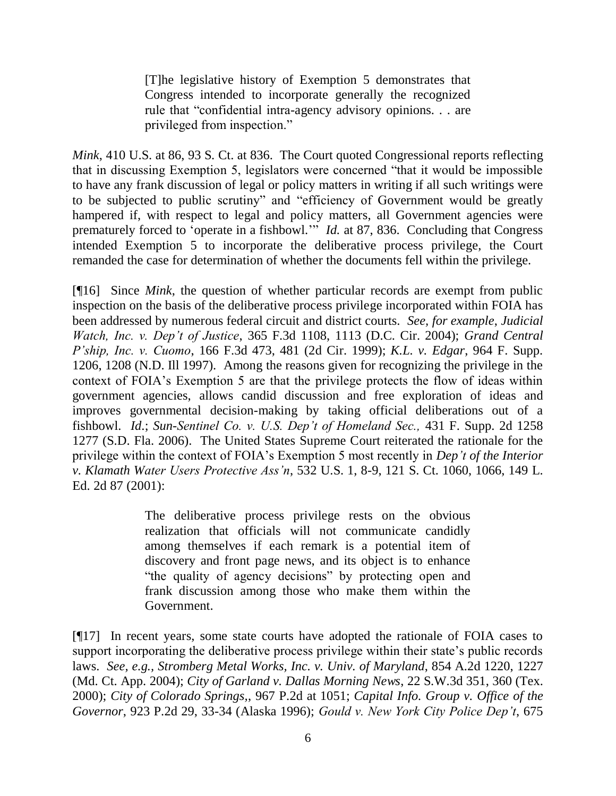[T]he legislative history of Exemption 5 demonstrates that Congress intended to incorporate generally the recognized rule that "confidential intra-agency advisory opinions. . . are privileged from inspection."

*Mink*, 410 U.S. at 86, 93 S. Ct. at 836. The Court quoted Congressional reports reflecting that in discussing Exemption 5, legislators were concerned "that it would be impossible to have any frank discussion of legal or policy matters in writing if all such writings were to be subjected to public scrutiny" and "efficiency of Government would be greatly hampered if, with respect to legal and policy matters, all Government agencies were prematurely forced to "operate in a fishbowl."" *Id.* at 87, 836. Concluding that Congress intended Exemption 5 to incorporate the deliberative process privilege, the Court remanded the case for determination of whether the documents fell within the privilege.

[¶16] Since *Mink*, the question of whether particular records are exempt from public inspection on the basis of the deliberative process privilege incorporated within FOIA has been addressed by numerous federal circuit and district courts. *See, for example*, *Judicial Watch, Inc. v. Dep't of Justice*, 365 F.3d 1108, 1113 (D.C. Cir. 2004); *Grand Central P'ship, Inc. v. Cuomo*, 166 F.3d 473, 481 (2d Cir. 1999); *K.L. v. Edgar*, 964 F. Supp. 1206, 1208 (N.D. Ill 1997). Among the reasons given for recognizing the privilege in the context of FOIA"s Exemption 5 are that the privilege protects the flow of ideas within government agencies, allows candid discussion and free exploration of ideas and improves governmental decision-making by taking official deliberations out of a fishbowl. *Id*.; *Sun-Sentinel Co. v. U.S. Dep't of Homeland Sec.,* 431 F. Supp. 2d 1258 1277 (S.D. Fla. 2006). The United States Supreme Court reiterated the rationale for the privilege within the context of FOIA"s Exemption 5 most recently in *Dep't of the Interior v. Klamath Water Users Protective Ass'n*, 532 U.S. 1, 8-9, 121 S. Ct. 1060, 1066, 149 L. Ed. 2d 87 (2001):

> The deliberative process privilege rests on the obvious realization that officials will not communicate candidly among themselves if each remark is a potential item of discovery and front page news, and its object is to enhance "the quality of agency decisions" by protecting open and frank discussion among those who make them within the Government.

[¶17] In recent years, some state courts have adopted the rationale of FOIA cases to support incorporating the deliberative process privilege within their state's public records laws. *See, e.g., Stromberg Metal Works, Inc. v. Univ. of Maryland*, 854 A.2d 1220, 1227 (Md. Ct. App. 2004); *City of Garland v. Dallas Morning News*, 22 S.W.3d 351, 360 (Tex. 2000); *City of Colorado Springs,*, 967 P.2d at 1051; *Capital Info. Group v. Office of the Governor*, 923 P.2d 29, 33-34 (Alaska 1996); *Gould v. New York City Police Dep't*, 675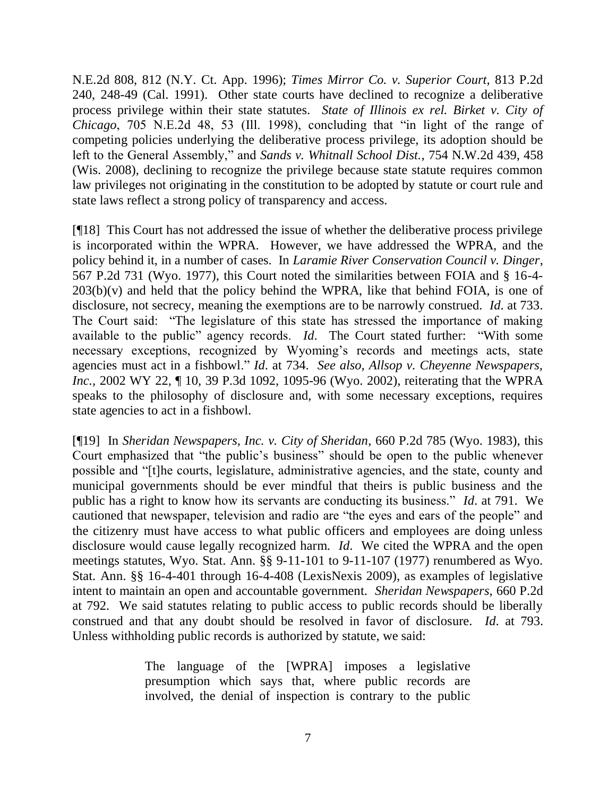N.E.2d 808, 812 (N.Y. Ct. App. 1996); *Times Mirror Co. v. Superior Court*, 813 P.2d 240, 248-49 (Cal. 1991). Other state courts have declined to recognize a deliberative process privilege within their state statutes. *State of Illinois ex rel. Birket v. City of Chicago*, 705 N.E.2d 48, 53 (Ill. 1998), concluding that "in light of the range of competing policies underlying the deliberative process privilege, its adoption should be left to the General Assembly," and *Sands v. Whitnall School Dist.*, 754 N.W.2d 439, 458 (Wis. 2008), declining to recognize the privilege because state statute requires common law privileges not originating in the constitution to be adopted by statute or court rule and state laws reflect a strong policy of transparency and access.

[¶18] This Court has not addressed the issue of whether the deliberative process privilege is incorporated within the WPRA. However, we have addressed the WPRA, and the policy behind it, in a number of cases. In *Laramie River Conservation Council v. Dinger*, 567 P.2d 731 (Wyo. 1977), this Court noted the similarities between FOIA and § 16-4-  $203(b)(v)$  and held that the policy behind the WPRA, like that behind FOIA, is one of disclosure, not secrecy, meaning the exemptions are to be narrowly construed. *Id*. at 733. The Court said: "The legislature of this state has stressed the importance of making available to the public" agency records. *Id*. The Court stated further: "With some necessary exceptions, recognized by Wyoming"s records and meetings acts, state agencies must act in a fishbowl." *Id*. at 734. *See also, Allsop v. Cheyenne Newspapers, Inc.*, 2002 WY 22, ¶ 10, 39 P.3d 1092, 1095-96 (Wyo. 2002), reiterating that the WPRA speaks to the philosophy of disclosure and, with some necessary exceptions, requires state agencies to act in a fishbowl.

[¶19] In *Sheridan Newspapers, Inc. v. City of Sheridan*, 660 P.2d 785 (Wyo. 1983), this Court emphasized that "the public"s business" should be open to the public whenever possible and "[t]he courts, legislature, administrative agencies, and the state, county and municipal governments should be ever mindful that theirs is public business and the public has a right to know how its servants are conducting its business." *Id*. at 791. We cautioned that newspaper, television and radio are "the eyes and ears of the people" and the citizenry must have access to what public officers and employees are doing unless disclosure would cause legally recognized harm. *Id*. We cited the WPRA and the open meetings statutes, Wyo. Stat. Ann. §§ 9-11-101 to 9-11-107 (1977) renumbered as Wyo. Stat. Ann. §§ 16-4-401 through 16-4-408 (LexisNexis 2009), as examples of legislative intent to maintain an open and accountable government. *Sheridan Newspapers*, 660 P.2d at 792. We said statutes relating to public access to public records should be liberally construed and that any doubt should be resolved in favor of disclosure. *Id*. at 793. Unless withholding public records is authorized by statute, we said:

> The language of the [WPRA] imposes a legislative presumption which says that, where public records are involved, the denial of inspection is contrary to the public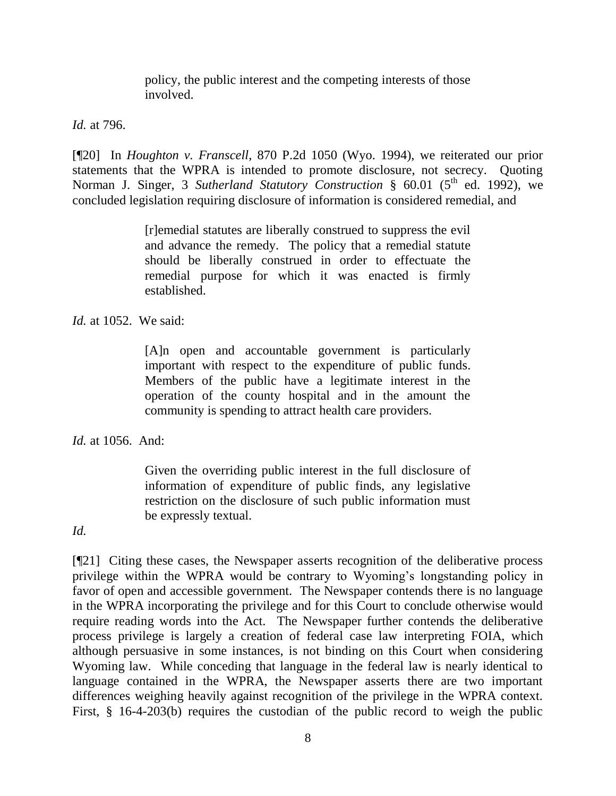policy, the public interest and the competing interests of those involved.

*Id.* at 796.

[¶20] In *Houghton v. Franscell*, 870 P.2d 1050 (Wyo. 1994), we reiterated our prior statements that the WPRA is intended to promote disclosure, not secrecy. Quoting Norman J. Singer, 3 *Sutherland Statutory Construction* § 60.01 (5<sup>th</sup> ed. 1992), we concluded legislation requiring disclosure of information is considered remedial, and

> [r]emedial statutes are liberally construed to suppress the evil and advance the remedy. The policy that a remedial statute should be liberally construed in order to effectuate the remedial purpose for which it was enacted is firmly established.

*Id.* at 1052. We said:

[A]n open and accountable government is particularly important with respect to the expenditure of public funds. Members of the public have a legitimate interest in the operation of the county hospital and in the amount the community is spending to attract health care providers.

*Id.* at 1056. And:

Given the overriding public interest in the full disclosure of information of expenditure of public finds, any legislative restriction on the disclosure of such public information must be expressly textual.

*Id.*

[¶21] Citing these cases, the Newspaper asserts recognition of the deliberative process privilege within the WPRA would be contrary to Wyoming"s longstanding policy in favor of open and accessible government. The Newspaper contends there is no language in the WPRA incorporating the privilege and for this Court to conclude otherwise would require reading words into the Act. The Newspaper further contends the deliberative process privilege is largely a creation of federal case law interpreting FOIA, which although persuasive in some instances, is not binding on this Court when considering Wyoming law. While conceding that language in the federal law is nearly identical to language contained in the WPRA, the Newspaper asserts there are two important differences weighing heavily against recognition of the privilege in the WPRA context. First, § 16-4-203(b) requires the custodian of the public record to weigh the public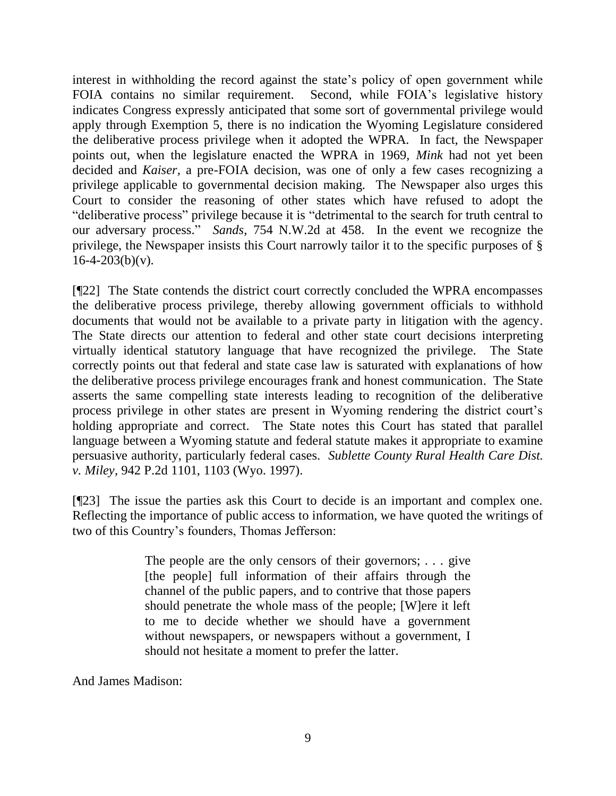interest in withholding the record against the state's policy of open government while FOIA contains no similar requirement. Second, while FOIA"s legislative history indicates Congress expressly anticipated that some sort of governmental privilege would apply through Exemption 5, there is no indication the Wyoming Legislature considered the deliberative process privilege when it adopted the WPRA. In fact, the Newspaper points out, when the legislature enacted the WPRA in 1969, *Mink* had not yet been decided and *Kaiser,* a pre-FOIA decision, was one of only a few cases recognizing a privilege applicable to governmental decision making. The Newspaper also urges this Court to consider the reasoning of other states which have refused to adopt the "deliberative process" privilege because it is "detrimental to the search for truth central to our adversary process." *Sands,* 754 N.W.2d at 458. In the event we recognize the privilege, the Newspaper insists this Court narrowly tailor it to the specific purposes of §  $16-4-203(b)(v)$ .

[¶22] The State contends the district court correctly concluded the WPRA encompasses the deliberative process privilege, thereby allowing government officials to withhold documents that would not be available to a private party in litigation with the agency. The State directs our attention to federal and other state court decisions interpreting virtually identical statutory language that have recognized the privilege. The State correctly points out that federal and state case law is saturated with explanations of how the deliberative process privilege encourages frank and honest communication. The State asserts the same compelling state interests leading to recognition of the deliberative process privilege in other states are present in Wyoming rendering the district court's holding appropriate and correct. The State notes this Court has stated that parallel language between a Wyoming statute and federal statute makes it appropriate to examine persuasive authority, particularly federal cases. *Sublette County Rural Health Care Dist. v. Miley*, 942 P.2d 1101, 1103 (Wyo. 1997).

[¶23] The issue the parties ask this Court to decide is an important and complex one. Reflecting the importance of public access to information, we have quoted the writings of two of this Country"s founders, Thomas Jefferson:

> The people are the only censors of their governors; ... give [the people] full information of their affairs through the channel of the public papers, and to contrive that those papers should penetrate the whole mass of the people; [W]ere it left to me to decide whether we should have a government without newspapers, or newspapers without a government, I should not hesitate a moment to prefer the latter.

And James Madison: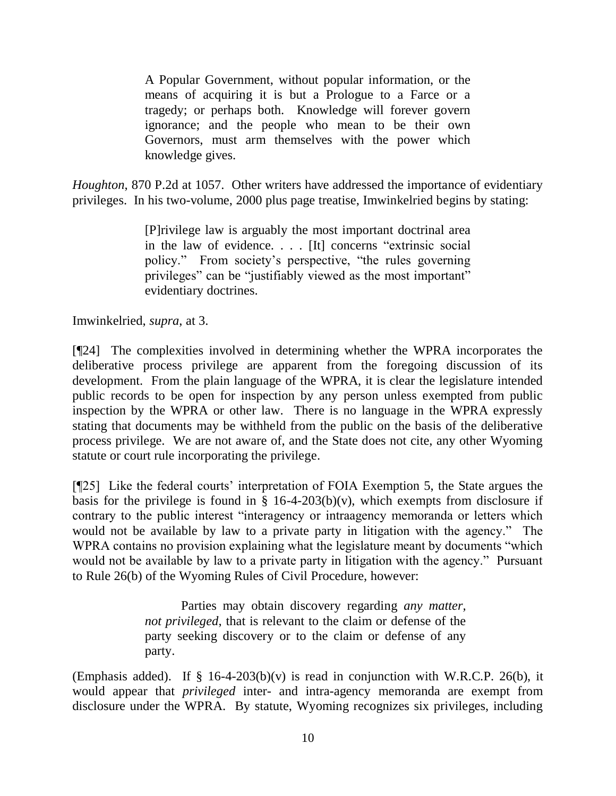A Popular Government, without popular information, or the means of acquiring it is but a Prologue to a Farce or a tragedy; or perhaps both. Knowledge will forever govern ignorance; and the people who mean to be their own Governors, must arm themselves with the power which knowledge gives.

*Houghton*, 870 P.2d at 1057. Other writers have addressed the importance of evidentiary privileges. In his two-volume, 2000 plus page treatise, Imwinkelried begins by stating:

> [P]rivilege law is arguably the most important doctrinal area in the law of evidence. . . . [It] concerns "extrinsic social policy." From society"s perspective, "the rules governing privileges" can be "justifiably viewed as the most important" evidentiary doctrines.

Imwinkelried, *supra*, at 3.

[¶24] The complexities involved in determining whether the WPRA incorporates the deliberative process privilege are apparent from the foregoing discussion of its development. From the plain language of the WPRA, it is clear the legislature intended public records to be open for inspection by any person unless exempted from public inspection by the WPRA or other law. There is no language in the WPRA expressly stating that documents may be withheld from the public on the basis of the deliberative process privilege. We are not aware of, and the State does not cite, any other Wyoming statute or court rule incorporating the privilege.

[¶25] Like the federal courts" interpretation of FOIA Exemption 5, the State argues the basis for the privilege is found in  $\S$  16-4-203(b)(v), which exempts from disclosure if contrary to the public interest "interagency or intraagency memoranda or letters which would not be available by law to a private party in litigation with the agency." The WPRA contains no provision explaining what the legislature meant by documents "which would not be available by law to a private party in litigation with the agency." Pursuant to Rule 26(b) of the Wyoming Rules of Civil Procedure, however:

> Parties may obtain discovery regarding *any matter, not privileged*, that is relevant to the claim or defense of the party seeking discovery or to the claim or defense of any party.

(Emphasis added). If  $\S$  16-4-203(b)(v) is read in conjunction with W.R.C.P. 26(b), it would appear that *privileged* inter- and intra-agency memoranda are exempt from disclosure under the WPRA. By statute, Wyoming recognizes six privileges, including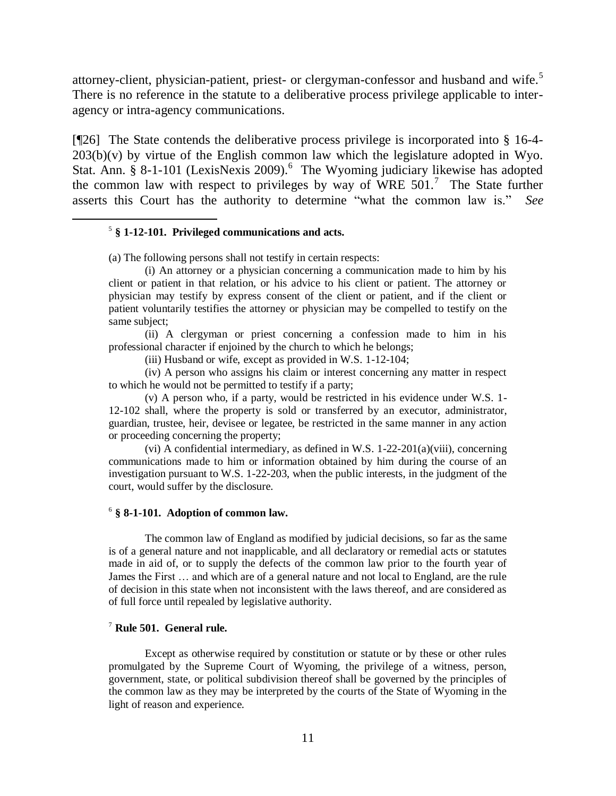attorney-client, physician-patient, priest- or clergyman-confessor and husband and wife.<sup>5</sup> There is no reference in the statute to a deliberative process privilege applicable to interagency or intra-agency communications.

[¶26] The State contends the deliberative process privilege is incorporated into § 16-4-  $203(b)(v)$  by virtue of the English common law which the legislature adopted in Wyo. Stat. Ann. § 8-1-101 (LexisNexis 2009). 6 The Wyoming judiciary likewise has adopted the common law with respect to privileges by way of WRE  $501$ .<sup>7</sup> The State further asserts this Court has the authority to determine "what the common law is." *See* 

#### 5 **§ 1-12-101. Privileged communications and acts.**

 $\overline{a}$ 

(a) The following persons shall not testify in certain respects:

(i) An attorney or a physician concerning a communication made to him by his client or patient in that relation, or his advice to his client or patient. The attorney or physician may testify by express consent of the client or patient, and if the client or patient voluntarily testifies the attorney or physician may be compelled to testify on the same subject;

(ii) A clergyman or priest concerning a confession made to him in his professional character if enjoined by the church to which he belongs;

(iii) Husband or wife, except as provided in W.S. 1-12-104;

(iv) A person who assigns his claim or interest concerning any matter in respect to which he would not be permitted to testify if a party;

(v) A person who, if a party, would be restricted in his evidence under W.S. 1- 12-102 shall, where the property is sold or transferred by an executor, administrator, guardian, trustee, heir, devisee or legatee, be restricted in the same manner in any action or proceeding concerning the property;

(vi) A confidential intermediary, as defined in W.S. 1-22-201(a)(viii), concerning communications made to him or information obtained by him during the course of an investigation pursuant to W.S. 1-22-203, when the public interests, in the judgment of the court, would suffer by the disclosure.

#### 6 **§ 8-1-101. Adoption of common law.**

The common law of England as modified by judicial decisions, so far as the same is of a general nature and not inapplicable, and all declaratory or remedial acts or statutes made in aid of, or to supply the defects of the common law prior to the fourth year of James the First … and which are of a general nature and not local to England, are the rule of decision in this state when not inconsistent with the laws thereof, and are considered as of full force until repealed by legislative authority.

#### <sup>7</sup> **Rule 501. General rule.**

Except as otherwise required by constitution or statute or by these or other rules promulgated by the Supreme Court of Wyoming, the privilege of a witness, person, government, state, or political subdivision thereof shall be governed by the principles of the common law as they may be interpreted by the courts of the State of Wyoming in the light of reason and experience.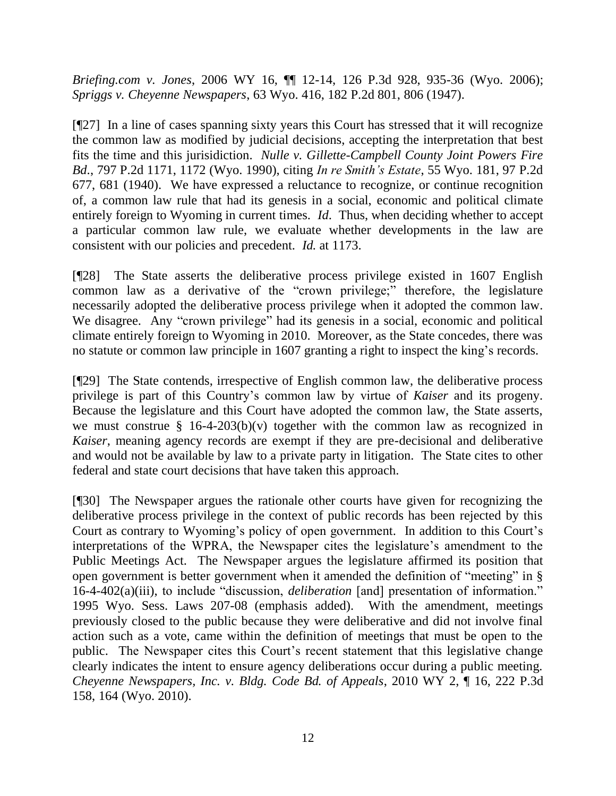*Briefing.com v. Jones*, 2006 WY 16, ¶¶ 12-14, 126 P.3d 928, 935-36 (Wyo. 2006); *Spriggs v. Cheyenne Newspapers*, 63 Wyo. 416, 182 P.2d 801, 806 (1947).

[¶27] In a line of cases spanning sixty years this Court has stressed that it will recognize the common law as modified by judicial decisions, accepting the interpretation that best fits the time and this jurisidiction. *Nulle v. Gillette-Campbell County Joint Powers Fire Bd*., 797 P.2d 1171, 1172 (Wyo. 1990), citing *In re Smith's Estate*, 55 Wyo. 181, 97 P.2d 677, 681 (1940). We have expressed a reluctance to recognize, or continue recognition of, a common law rule that had its genesis in a social, economic and political climate entirely foreign to Wyoming in current times. *Id*. Thus, when deciding whether to accept a particular common law rule, we evaluate whether developments in the law are consistent with our policies and precedent. *Id.* at 1173.

[¶28] The State asserts the deliberative process privilege existed in 1607 English common law as a derivative of the "crown privilege;" therefore, the legislature necessarily adopted the deliberative process privilege when it adopted the common law. We disagree. Any "crown privilege" had its genesis in a social, economic and political climate entirely foreign to Wyoming in 2010. Moreover, as the State concedes, there was no statute or common law principle in 1607 granting a right to inspect the king"s records.

[¶29] The State contends, irrespective of English common law, the deliberative process privilege is part of this Country"s common law by virtue of *Kaiser* and its progeny. Because the legislature and this Court have adopted the common law, the State asserts, we must construe  $\S$  16-4-203(b)(v) together with the common law as recognized in *Kaiser*, meaning agency records are exempt if they are pre-decisional and deliberative and would not be available by law to a private party in litigation. The State cites to other federal and state court decisions that have taken this approach.

[¶30] The Newspaper argues the rationale other courts have given for recognizing the deliberative process privilege in the context of public records has been rejected by this Court as contrary to Wyoming's policy of open government. In addition to this Court's interpretations of the WPRA, the Newspaper cites the legislature"s amendment to the Public Meetings Act. The Newspaper argues the legislature affirmed its position that open government is better government when it amended the definition of "meeting" in § 16-4-402(a)(iii), to include "discussion, *deliberation* [and] presentation of information." 1995 Wyo. Sess. Laws 207-08 (emphasis added). With the amendment, meetings previously closed to the public because they were deliberative and did not involve final action such as a vote, came within the definition of meetings that must be open to the public. The Newspaper cites this Court"s recent statement that this legislative change clearly indicates the intent to ensure agency deliberations occur during a public meeting. *Cheyenne Newspapers, Inc. v. Bldg. Code Bd. of Appeals*, 2010 WY 2, ¶ 16, 222 P.3d 158, 164 (Wyo. 2010).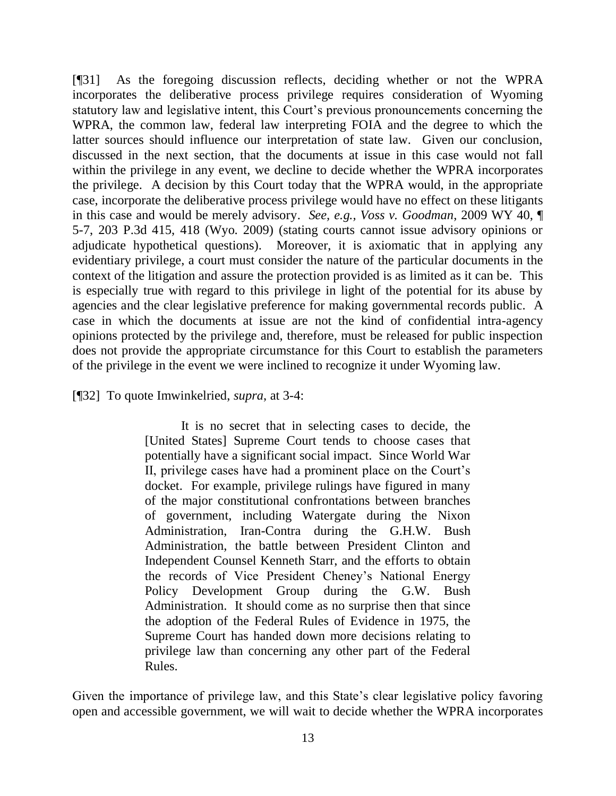[¶31] As the foregoing discussion reflects, deciding whether or not the WPRA incorporates the deliberative process privilege requires consideration of Wyoming statutory law and legislative intent, this Court's previous pronouncements concerning the WPRA, the common law, federal law interpreting FOIA and the degree to which the latter sources should influence our interpretation of state law. Given our conclusion, discussed in the next section, that the documents at issue in this case would not fall within the privilege in any event, we decline to decide whether the WPRA incorporates the privilege. A decision by this Court today that the WPRA would, in the appropriate case, incorporate the deliberative process privilege would have no effect on these litigants in this case and would be merely advisory. *See, e.g., Voss v. Goodman*, 2009 WY 40, ¶ 5-7, 203 P.3d 415, 418 (Wyo. 2009) (stating courts cannot issue advisory opinions or adjudicate hypothetical questions). Moreover, it is axiomatic that in applying any evidentiary privilege, a court must consider the nature of the particular documents in the context of the litigation and assure the protection provided is as limited as it can be. This is especially true with regard to this privilege in light of the potential for its abuse by agencies and the clear legislative preference for making governmental records public. A case in which the documents at issue are not the kind of confidential intra-agency opinions protected by the privilege and, therefore, must be released for public inspection does not provide the appropriate circumstance for this Court to establish the parameters of the privilege in the event we were inclined to recognize it under Wyoming law.

[¶32] To quote Imwinkelried, *supra*, at 3-4:

It is no secret that in selecting cases to decide, the [United States] Supreme Court tends to choose cases that potentially have a significant social impact. Since World War II, privilege cases have had a prominent place on the Court"s docket. For example, privilege rulings have figured in many of the major constitutional confrontations between branches of government, including Watergate during the Nixon Administration, Iran-Contra during the G.H.W. Bush Administration, the battle between President Clinton and Independent Counsel Kenneth Starr, and the efforts to obtain the records of Vice President Cheney"s National Energy Policy Development Group during the G.W. Bush Administration. It should come as no surprise then that since the adoption of the Federal Rules of Evidence in 1975, the Supreme Court has handed down more decisions relating to privilege law than concerning any other part of the Federal Rules.

Given the importance of privilege law, and this State's clear legislative policy favoring open and accessible government, we will wait to decide whether the WPRA incorporates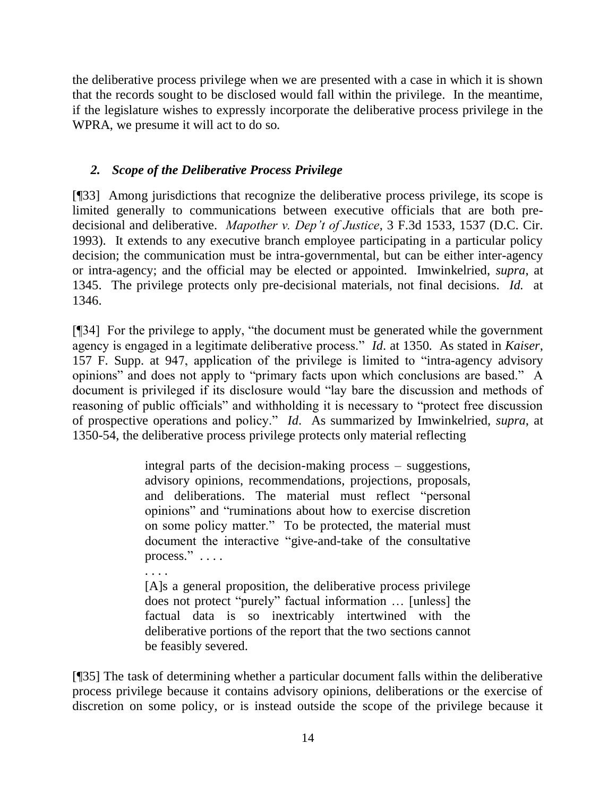the deliberative process privilege when we are presented with a case in which it is shown that the records sought to be disclosed would fall within the privilege. In the meantime, if the legislature wishes to expressly incorporate the deliberative process privilege in the WPRA, we presume it will act to do so.

## *2. Scope of the Deliberative Process Privilege*

[¶33] Among jurisdictions that recognize the deliberative process privilege, its scope is limited generally to communications between executive officials that are both predecisional and deliberative. *Mapother v. Dep't of Justice*, 3 F.3d 1533, 1537 (D.C. Cir. 1993). It extends to any executive branch employee participating in a particular policy decision; the communication must be intra-governmental, but can be either inter-agency or intra-agency; and the official may be elected or appointed. Imwinkelried, *supra*, at 1345. The privilege protects only pre-decisional materials, not final decisions. *Id.* at 1346.

[¶34] For the privilege to apply, "the document must be generated while the government agency is engaged in a legitimate deliberative process." *Id*. at 1350. As stated in *Kaiser*, 157 F. Supp. at 947, application of the privilege is limited to "intra-agency advisory opinions" and does not apply to "primary facts upon which conclusions are based." A document is privileged if its disclosure would "lay bare the discussion and methods of reasoning of public officials" and withholding it is necessary to "protect free discussion of prospective operations and policy." *Id*. As summarized by Imwinkelried, *supra*, at 1350-54, the deliberative process privilege protects only material reflecting

> integral parts of the decision-making process – suggestions, advisory opinions, recommendations, projections, proposals, and deliberations. The material must reflect "personal opinions" and "ruminations about how to exercise discretion on some policy matter." To be protected, the material must document the interactive "give-and-take of the consultative process." . . . .

. . . .

[A]s a general proposition, the deliberative process privilege does not protect "purely" factual information … [unless] the factual data is so inextricably intertwined with the deliberative portions of the report that the two sections cannot be feasibly severed.

[¶35] The task of determining whether a particular document falls within the deliberative process privilege because it contains advisory opinions, deliberations or the exercise of discretion on some policy, or is instead outside the scope of the privilege because it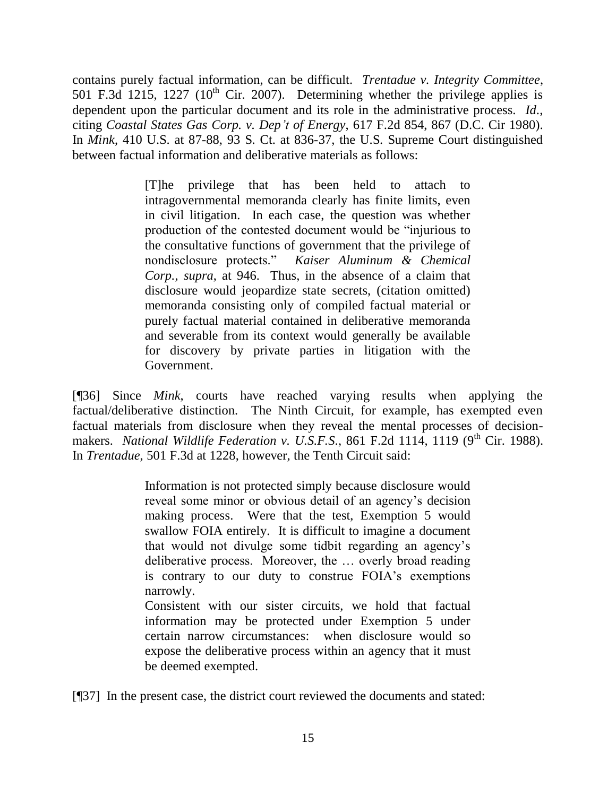contains purely factual information, can be difficult. *Trentadue v. Integrity Committee*, 501 F.3d 1215, 1227 ( $10^{th}$  Cir. 2007). Determining whether the privilege applies is dependent upon the particular document and its role in the administrative process. *Id*., citing *Coastal States Gas Corp. v. Dep't of Energy*, 617 F.2d 854, 867 (D.C. Cir 1980). In *Mink*, 410 U.S. at 87-88, 93 S. Ct. at 836-37, the U.S. Supreme Court distinguished between factual information and deliberative materials as follows:

> [T]he privilege that has been held to attach to intragovernmental memoranda clearly has finite limits, even in civil litigation. In each case, the question was whether production of the contested document would be "injurious to the consultative functions of government that the privilege of nondisclosure protects." *Kaiser Aluminum & Chemical Corp.*, *supra*, at 946. Thus, in the absence of a claim that disclosure would jeopardize state secrets, (citation omitted) memoranda consisting only of compiled factual material or purely factual material contained in deliberative memoranda and severable from its context would generally be available for discovery by private parties in litigation with the Government.

[¶36] Since *Mink*, courts have reached varying results when applying the factual/deliberative distinction. The Ninth Circuit, for example, has exempted even factual materials from disclosure when they reveal the mental processes of decisionmakers. *National Wildlife Federation v. U.S.F.S.*, 861 F.2d 1114, 1119 (9<sup>th</sup> Cir. 1988). In *Trentadue*, 501 F.3d at 1228, however, the Tenth Circuit said:

> Information is not protected simply because disclosure would reveal some minor or obvious detail of an agency"s decision making process. Were that the test, Exemption 5 would swallow FOIA entirely. It is difficult to imagine a document that would not divulge some tidbit regarding an agency"s deliberative process. Moreover, the … overly broad reading is contrary to our duty to construe FOIA"s exemptions narrowly. Consistent with our sister circuits, we hold that factual information may be protected under Exemption 5 under certain narrow circumstances: when disclosure would so expose the deliberative process within an agency that it must be deemed exempted.

[¶37] In the present case, the district court reviewed the documents and stated: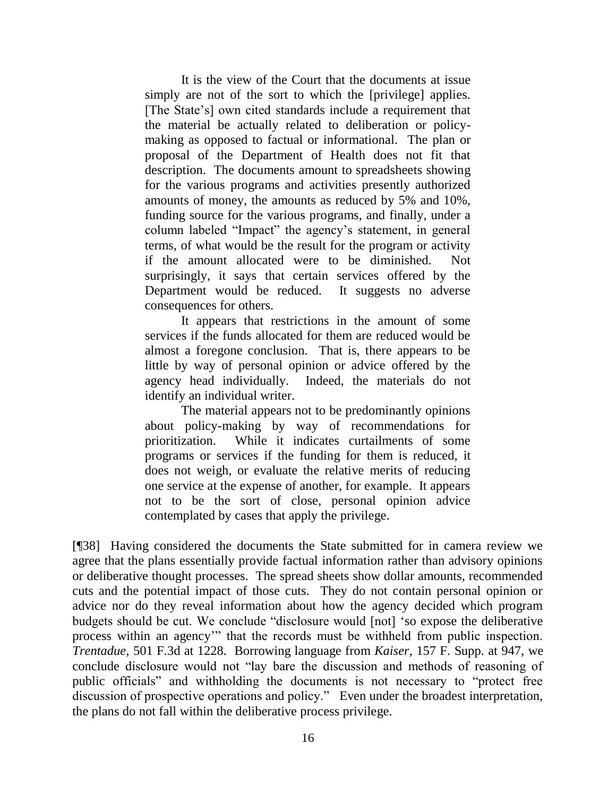It is the view of the Court that the documents at issue simply are not of the sort to which the [privilege] applies. [The State"s] own cited standards include a requirement that the material be actually related to deliberation or policymaking as opposed to factual or informational. The plan or proposal of the Department of Health does not fit that description. The documents amount to spreadsheets showing for the various programs and activities presently authorized amounts of money, the amounts as reduced by 5% and 10%, funding source for the various programs, and finally, under a column labeled "Impact" the agency"s statement, in general terms, of what would be the result for the program or activity if the amount allocated were to be diminished. Not surprisingly, it says that certain services offered by the Department would be reduced. It suggests no adverse consequences for others.

It appears that restrictions in the amount of some services if the funds allocated for them are reduced would be almost a foregone conclusion. That is, there appears to be little by way of personal opinion or advice offered by the agency head individually. Indeed, the materials do not identify an individual writer.

The material appears not to be predominantly opinions about policy-making by way of recommendations for prioritization. While it indicates curtailments of some programs or services if the funding for them is reduced, it does not weigh, or evaluate the relative merits of reducing one service at the expense of another, for example. It appears not to be the sort of close, personal opinion advice contemplated by cases that apply the privilege.

[¶38] Having considered the documents the State submitted for in camera review we agree that the plans essentially provide factual information rather than advisory opinions or deliberative thought processes. The spread sheets show dollar amounts, recommended cuts and the potential impact of those cuts. They do not contain personal opinion or advice nor do they reveal information about how the agency decided which program budgets should be cut. We conclude "disclosure would [not] "so expose the deliberative process within an agency"" that the records must be withheld from public inspection. *Trentadue,* 501 F.3d at 1228. Borrowing language from *Kaiser*, 157 F. Supp. at 947, we conclude disclosure would not "lay bare the discussion and methods of reasoning of public officials" and withholding the documents is not necessary to "protect free discussion of prospective operations and policy." Even under the broadest interpretation, the plans do not fall within the deliberative process privilege.